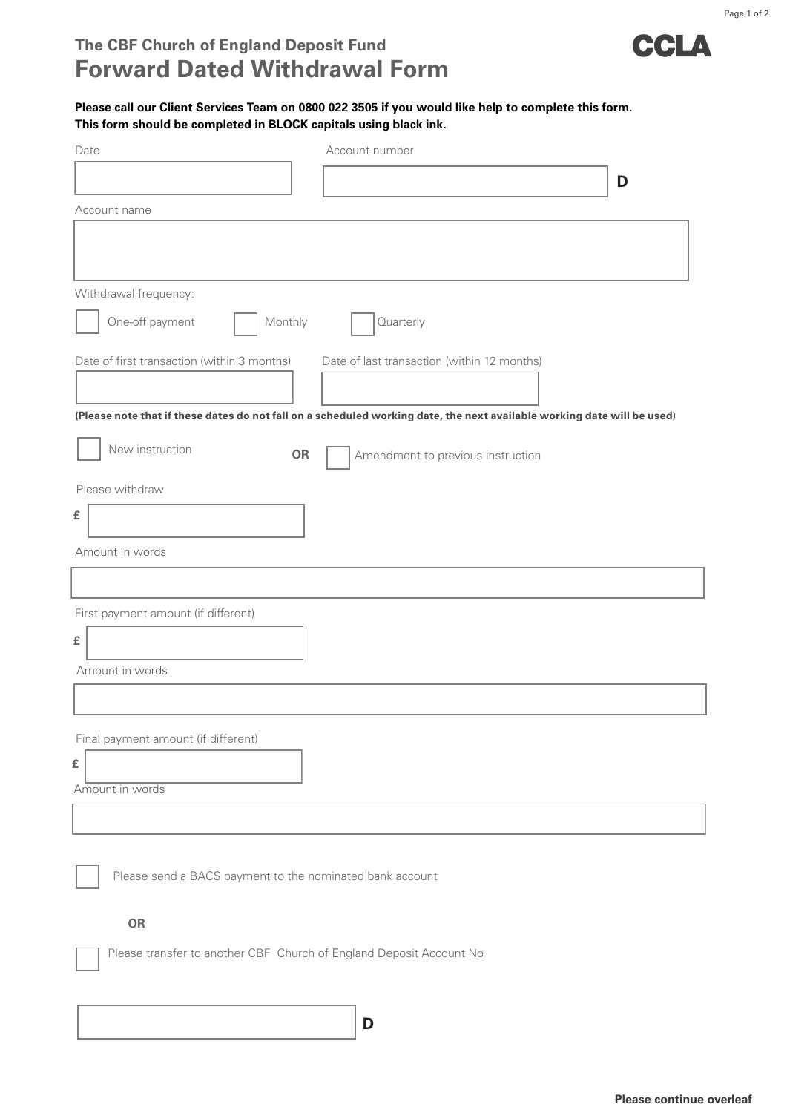

Page 1 of 2

## **Please call our Client Services Team on 0800 022 3505 if you would like help to complete this form. This form should be completed in BLOCK capitals using black ink.**

| Date                                                                                                                    | Account number                              |   |
|-------------------------------------------------------------------------------------------------------------------------|---------------------------------------------|---|
|                                                                                                                         |                                             | D |
| Account name                                                                                                            |                                             |   |
|                                                                                                                         |                                             |   |
|                                                                                                                         |                                             |   |
| Withdrawal frequency:                                                                                                   |                                             |   |
| One-off payment<br>Monthly                                                                                              | Quarterly                                   |   |
| Date of first transaction (within 3 months)                                                                             | Date of last transaction (within 12 months) |   |
|                                                                                                                         |                                             |   |
| (Please note that if these dates do not fall on a scheduled working date, the next available working date will be used) |                                             |   |
| New instruction<br><b>OR</b>                                                                                            | Amendment to previous instruction           |   |
| Please withdraw                                                                                                         |                                             |   |
| £                                                                                                                       |                                             |   |
| Amount in words                                                                                                         |                                             |   |
|                                                                                                                         |                                             |   |
| First payment amount (if different)                                                                                     |                                             |   |
| £                                                                                                                       |                                             |   |
| Amount in words                                                                                                         |                                             |   |
|                                                                                                                         |                                             |   |
|                                                                                                                         |                                             |   |
| Final payment amount (if different)                                                                                     |                                             |   |
| £<br>Amount in words                                                                                                    |                                             |   |
|                                                                                                                         |                                             |   |
|                                                                                                                         |                                             |   |
| Please send a BACS payment to the nominated bank account                                                                |                                             |   |
|                                                                                                                         |                                             |   |
| OR                                                                                                                      |                                             |   |
| Please transfer to another CBF Church of England Deposit Account No                                                     |                                             |   |
|                                                                                                                         |                                             |   |
|                                                                                                                         |                                             |   |
|                                                                                                                         | D                                           |   |